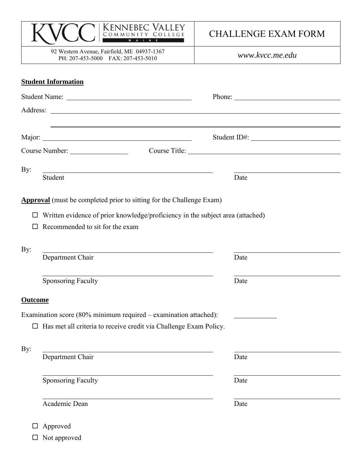| <b>KENNEBEC VALLEY</b><br>COMMUNITY COLLEGE                                       | <b>CHALLENGE EXAM FORM</b>                                                                                                                                                                                                                                                                                                                                                                                   |
|-----------------------------------------------------------------------------------|--------------------------------------------------------------------------------------------------------------------------------------------------------------------------------------------------------------------------------------------------------------------------------------------------------------------------------------------------------------------------------------------------------------|
| 92 Western Avenue, Fairfield, ME 04937-1367<br>PH: 207-453-5000 FAX: 207-453-5010 | www.kvcc.me.edu                                                                                                                                                                                                                                                                                                                                                                                              |
| <b>Student Information</b>                                                        |                                                                                                                                                                                                                                                                                                                                                                                                              |
|                                                                                   | Phone: $\frac{1}{\sqrt{1-\frac{1}{2}}\sqrt{1-\frac{1}{2}}\sqrt{1-\frac{1}{2}}\sqrt{1-\frac{1}{2}}\sqrt{1-\frac{1}{2}}\sqrt{1-\frac{1}{2}}\sqrt{1-\frac{1}{2}}\sqrt{1-\frac{1}{2}}\sqrt{1-\frac{1}{2}}\sqrt{1-\frac{1}{2}}\sqrt{1-\frac{1}{2}}\sqrt{1-\frac{1}{2}}\sqrt{1-\frac{1}{2}}\sqrt{1-\frac{1}{2}}\sqrt{1-\frac{1}{2}}\sqrt{1-\frac{1}{2}}\sqrt{1-\frac{1}{2}}\sqrt{1-\frac{1}{2}}\sqrt{1-\frac{1}{2$ |
|                                                                                   |                                                                                                                                                                                                                                                                                                                                                                                                              |
|                                                                                   |                                                                                                                                                                                                                                                                                                                                                                                                              |
| Course Number:                                                                    | Course Title:                                                                                                                                                                                                                                                                                                                                                                                                |
| By:                                                                               |                                                                                                                                                                                                                                                                                                                                                                                                              |
| Student                                                                           | Date                                                                                                                                                                                                                                                                                                                                                                                                         |
| By:<br>Department Chair                                                           | Date                                                                                                                                                                                                                                                                                                                                                                                                         |
| Sponsoring Faculty                                                                | Date                                                                                                                                                                                                                                                                                                                                                                                                         |
| <b>Outcome</b>                                                                    |                                                                                                                                                                                                                                                                                                                                                                                                              |
| Examination score (80% minimum required – examination attached):                  |                                                                                                                                                                                                                                                                                                                                                                                                              |
| Has met all criteria to receive credit via Challenge Exam Policy.                 |                                                                                                                                                                                                                                                                                                                                                                                                              |
| By:<br>Department Chair                                                           | Date                                                                                                                                                                                                                                                                                                                                                                                                         |
|                                                                                   |                                                                                                                                                                                                                                                                                                                                                                                                              |
| <b>Sponsoring Faculty</b>                                                         | Date                                                                                                                                                                                                                                                                                                                                                                                                         |
| Academic Dean                                                                     | Date                                                                                                                                                                                                                                                                                                                                                                                                         |
| Approved                                                                          |                                                                                                                                                                                                                                                                                                                                                                                                              |

| $\Box$ Not approved |  |
|---------------------|--|
|---------------------|--|